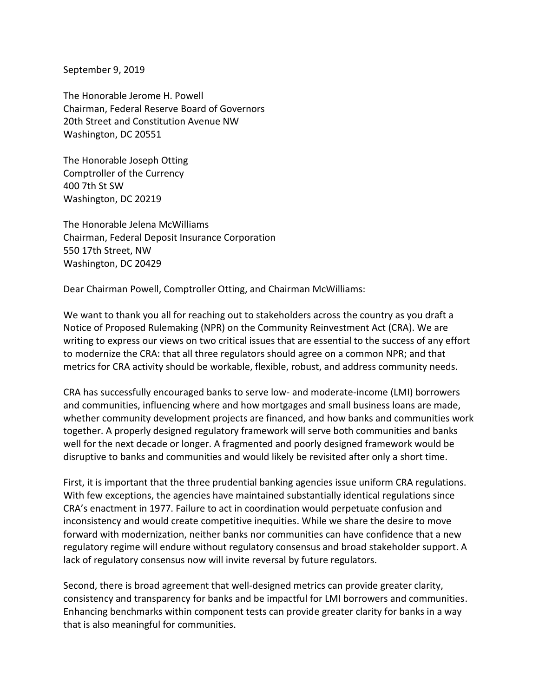September 9, 2019

The Honorable Jerome H. Powell Chairman, Federal Reserve Board of Governors 20th Street and Constitution Avenue NW Washington, DC 20551

The Honorable Joseph Otting Comptroller of the Currency 400 7th St SW Washington, DC 20219

The Honorable Jelena McWilliams Chairman, Federal Deposit Insurance Corporation 550 17th Street, NW Washington, DC 20429

Dear Chairman Powell, Comptroller Otting, and Chairman McWilliams:

We want to thank you all for reaching out to stakeholders across the country as you draft a Notice of Proposed Rulemaking (NPR) on the Community Reinvestment Act (CRA). We are writing to express our views on two critical issues that are essential to the success of any effort to modernize the CRA: that all three regulators should agree on a common NPR; and that metrics for CRA activity should be workable, flexible, robust, and address community needs.

CRA has successfully encouraged banks to serve low- and moderate-income (LMI) borrowers and communities, influencing where and how mortgages and small business loans are made, whether community development projects are financed, and how banks and communities work together. A properly designed regulatory framework will serve both communities and banks well for the next decade or longer. A fragmented and poorly designed framework would be disruptive to banks and communities and would likely be revisited after only a short time.

First, it is important that the three prudential banking agencies issue uniform CRA regulations. With few exceptions, the agencies have maintained substantially identical regulations since CRA's enactment in 1977. Failure to act in coordination would perpetuate confusion and inconsistency and would create competitive inequities. While we share the desire to move forward with modernization, neither banks nor communities can have confidence that a new regulatory regime will endure without regulatory consensus and broad stakeholder support. A lack of regulatory consensus now will invite reversal by future regulators.

Second, there is broad agreement that well-designed metrics can provide greater clarity, consistency and transparency for banks and be impactful for LMI borrowers and communities. Enhancing benchmarks within component tests can provide greater clarity for banks in a way that is also meaningful for communities.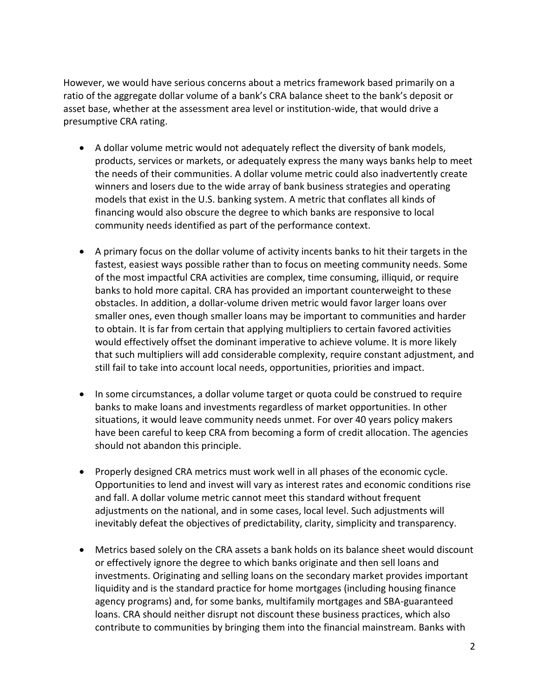However, we would have serious concerns about a metrics framework based primarily on a ratio of the aggregate dollar volume of a bank's CRA balance sheet to the bank's deposit or asset base, whether at the assessment area level or institution-wide, that would drive a presumptive CRA rating.

- A dollar volume metric would not adequately reflect the diversity of bank models, products, services or markets, or adequately express the many ways banks help to meet the needs of their communities. A dollar volume metric could also inadvertently create winners and losers due to the wide array of bank business strategies and operating models that exist in the U.S. banking system. A metric that conflates all kinds of financing would also obscure the degree to which banks are responsive to local community needs identified as part of the performance context.
- A primary focus on the dollar volume of activity incents banks to hit their targets in the fastest, easiest ways possible rather than to focus on meeting community needs. Some of the most impactful CRA activities are complex, time consuming, illiquid, or require banks to hold more capital. CRA has provided an important counterweight to these obstacles. In addition, a dollar-volume driven metric would favor larger loans over smaller ones, even though smaller loans may be important to communities and harder to obtain. It is far from certain that applying multipliers to certain favored activities would effectively offset the dominant imperative to achieve volume. It is more likely that such multipliers will add considerable complexity, require constant adjustment, and still fail to take into account local needs, opportunities, priorities and impact.
- In some circumstances, a dollar volume target or quota could be construed to require banks to make loans and investments regardless of market opportunities. In other situations, it would leave community needs unmet. For over 40 years policy makers have been careful to keep CRA from becoming a form of credit allocation. The agencies should not abandon this principle.
- Properly designed CRA metrics must work well in all phases of the economic cycle. Opportunities to lend and invest will vary as interest rates and economic conditions rise and fall. A dollar volume metric cannot meet this standard without frequent adjustments on the national, and in some cases, local level. Such adjustments will inevitably defeat the objectives of predictability, clarity, simplicity and transparency.
- Metrics based solely on the CRA assets a bank holds on its balance sheet would discount or effectively ignore the degree to which banks originate and then sell loans and investments. Originating and selling loans on the secondary market provides important liquidity and is the standard practice for home mortgages (including housing finance agency programs) and, for some banks, multifamily mortgages and SBA-guaranteed loans. CRA should neither disrupt not discount these business practices, which also contribute to communities by bringing them into the financial mainstream. Banks with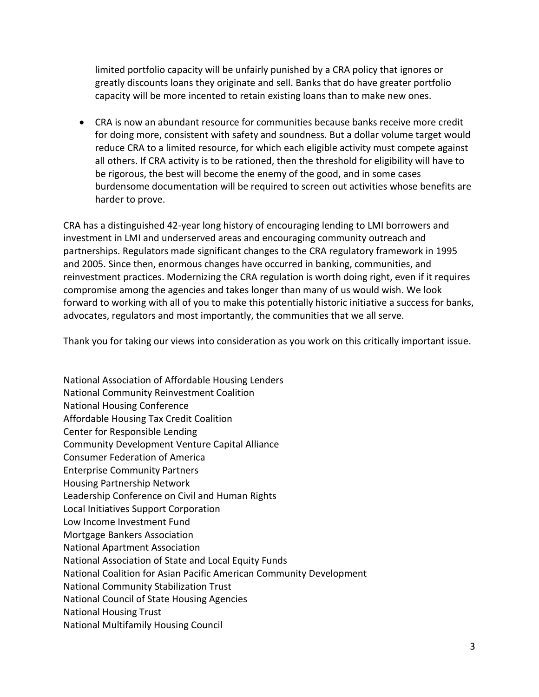limited portfolio capacity will be unfairly punished by a CRA policy that ignores or greatly discounts loans they originate and sell. Banks that do have greater portfolio capacity will be more incented to retain existing loans than to make new ones.

 CRA is now an abundant resource for communities because banks receive more credit for doing more, consistent with safety and soundness. But a dollar volume target would reduce CRA to a limited resource, for which each eligible activity must compete against all others. If CRA activity is to be rationed, then the threshold for eligibility will have to be rigorous, the best will become the enemy of the good, and in some cases burdensome documentation will be required to screen out activities whose benefits are harder to prove.

CRA has a distinguished 42-year long history of encouraging lending to LMI borrowers and investment in LMI and underserved areas and encouraging community outreach and partnerships. Regulators made significant changes to the CRA regulatory framework in 1995 and 2005. Since then, enormous changes have occurred in banking, communities, and reinvestment practices. Modernizing the CRA regulation is worth doing right, even if it requires compromise among the agencies and takes longer than many of us would wish. We look forward to working with all of you to make this potentially historic initiative a success for banks, advocates, regulators and most importantly, the communities that we all serve.

Thank you for taking our views into consideration as you work on this critically important issue.

National Association of Affordable Housing Lenders National Community Reinvestment Coalition National Housing Conference Affordable Housing Tax Credit Coalition Center for Responsible Lending Community Development Venture Capital Alliance Consumer Federation of America Enterprise Community Partners Housing Partnership Network Leadership Conference on Civil and Human Rights Local Initiatives Support Corporation Low Income Investment Fund Mortgage Bankers Association National Apartment Association National Association of State and Local Equity Funds National Coalition for Asian Pacific American Community Development National Community Stabilization Trust National Council of State Housing Agencies National Housing Trust National Multifamily Housing Council